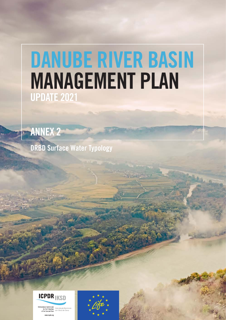# DANUBE RIVER BASIN MANAGEMENT PLAN UPDATE 2021



DRBD Surface Water Typology



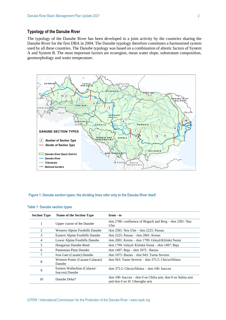## **Typology of the Danube River**

The typology of the Danube River has been developed in a joint activity by the countries sharing the Danube River for the first DBA in 2004. The Danube typology therefore constitutes a harmonised system used by all these countries. The Danube typology was based on a combination of abiotic factors of System A and System B. The most important factors are ecoregion, mean water slope, substratum composition, geomorphology and water temperature.



#### **Figure 1: Danube section types; the dividing lines refer only to the Danube River itself.**

| <b>Section Type</b> | Name of the Section Type                         | from - to                                                                                    |  |  |  |  |
|---------------------|--------------------------------------------------|----------------------------------------------------------------------------------------------|--|--|--|--|
|                     | Upper course of the Danube                       | rkm 2786: confluence of Brigach and Breg $-$ rkm 2581: Neu<br>Ulm                            |  |  |  |  |
| 2                   | Western Alpine Foothills Danube                  | rkm 2581: Neu Ulm – rkm 2225: Passau                                                         |  |  |  |  |
| 3                   | Eastern Alpine Foothills Danube                  | rkm 2225: Passau $-$ rkm 2001: Krems                                                         |  |  |  |  |
| 4                   | Lower Alpine Foothills Danube                    | rkm 2001: Krems – rkm 1790: Gönyű/Kližská Nemá                                               |  |  |  |  |
| 5                   | Hungarian Danube Bend                            | rkm 1790: Gönyű/ Kližská Nemá – rkm 1497: Baja                                               |  |  |  |  |
| 6                   | Pannonian Plain Danube                           | rkm 1497: Baja – rkm $1075$ : Bazias                                                         |  |  |  |  |
|                     | Iron Gate (Cazane) Danube                        | rkm 1075: Bazias – rkm 943: Turnu Severin                                                    |  |  |  |  |
| 8                   | Western Pontic (Cazane-Calarasi)<br>Danube       | rkm 943: Turnu Severin – rkm 375.5: Chiciu/Silistra                                          |  |  |  |  |
| 9                   | Eastern Wallachian (Calarasi-<br>Isaccea) Danube | rkm 375.5: Chiciu/Silistra – rkm 100: Isaccea                                                |  |  |  |  |
| 10                  | Danube Delta*                                    | rkm 100: Isaccea – rkm 0 on Chilia arm, rkm 0 on Sulina arm<br>and rkm 0 on Sf. Gheorghe arm |  |  |  |  |

#### **Table 1: Danube section types**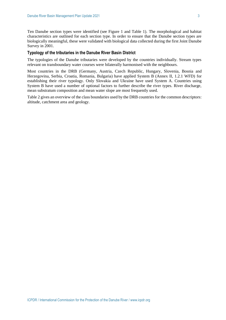Ten Danube section types were identified (see Figure 1 and Table 1). The morphological and habitat characteristics are outlined for each section type. In order to ensure that the Danube section types are biologically meaningful, these were validated with biological data collected during the first Joint Danube Survey in 2001.

## **Typology of the tributaries in the Danube River Basin District**

The typologies of the Danube tributaries were developed by the countries individually. Stream types relevant on transboundary water courses were bilaterally harmonised with the neighbours.

Most countries in the DRB (Germany, Austria, Czech Republic, Hungary, Slovenia, Bosnia and Herzegovina, Serbia, Croatia, Romania, Bulgaria) have applied System B (Annex II, 1.2.1 WFD) for establishing their river typology. Only Slovakia and Ukraine have used System A. Countries using System B have used a number of optional factors to further describe the river types. River discharge, mean substratum composition and mean water slope are most frequently used.

Table 2 gives an overview of the class boundaries used by the DRB countries for the common descriptors: altitude, catchment area and geology.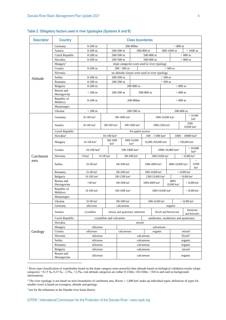| Table 2: Obligatory factors used in river typologies (Systems A and B) |  |  |  |  |
|------------------------------------------------------------------------|--|--|--|--|
|------------------------------------------------------------------------|--|--|--|--|

| <b>Descriptor</b> | <b>Country</b>            | <b>Class boundaries</b>                             |                                   |                                                     |                                                 |                                              |                                                    |                                      |                                |                                |                                     |                                |
|-------------------|---------------------------|-----------------------------------------------------|-----------------------------------|-----------------------------------------------------|-------------------------------------------------|----------------------------------------------|----------------------------------------------------|--------------------------------------|--------------------------------|--------------------------------|-------------------------------------|--------------------------------|
|                   | Germany                   | 200-800m<br>$0-200$ m                               |                                   |                                                     |                                                 |                                              | $> 800 \text{ m}$                                  |                                      |                                |                                |                                     |                                |
|                   | Austria                   | $0-200$ m                                           |                                   | 200-500 m                                           |                                                 | 500-800 m                                    |                                                    |                                      | 800-1600 m                     |                                |                                     | $>1600 \text{ m}$              |
|                   | Czech Republic            | $0-200$ m                                           |                                   | 200-500 m                                           |                                                 | 500-800 m                                    |                                                    |                                      |                                |                                | $> 800 \text{ m}$                   |                                |
|                   | Slovakia                  | $0-200$ m                                           |                                   | 200-500 m                                           |                                                 |                                              | 500-800 m                                          |                                      |                                |                                | $> 800 \text{ m}$                   |                                |
|                   | Hungary <sup>1</sup>      |                                                     |                                   |                                                     |                                                 | slope categories were used in river typology |                                                    |                                      |                                |                                |                                     |                                |
|                   | Croatia                   | $0-200$ m                                           |                                   |                                                     | $200 - 500$ m                                   |                                              |                                                    |                                      | $> 500 \text{ m}$              |                                |                                     |                                |
| Altitude          | Slovenia                  |                                                     |                                   |                                                     | no altitude classes were used in river typology |                                              |                                                    |                                      |                                |                                |                                     |                                |
|                   | Serbia                    | $0-200$ m                                           |                                   | 200-500 m                                           |                                                 |                                              | $> 500 \text{ m}$                                  |                                      |                                |                                |                                     |                                |
|                   | Romania                   | $0-200$ m                                           |                                   | 200-500 m                                           |                                                 |                                              |                                                    |                                      | $> 500 \text{ m}$              |                                |                                     |                                |
|                   | Bulgaria                  | $0-200$ m                                           |                                   |                                                     |                                                 | 200-800 m                                    |                                                    |                                      |                                |                                | $> 800 \text{ m}$                   |                                |
|                   | Bosnia and<br>Herzegovina | $< 200 \text{ m}$                                   |                                   | 200-500 m                                           |                                                 |                                              | 500-800 m                                          |                                      |                                |                                | $> 800 \text{ m}$                   |                                |
|                   | Republic of<br>Moldova    | $0-200$ m                                           |                                   |                                                     | 200-800m                                        |                                              |                                                    |                                      |                                | $> 800 \text{ m}$              |                                     |                                |
|                   | Montenegro                |                                                     |                                   |                                                     |                                                 |                                              |                                                    |                                      |                                |                                |                                     |                                |
|                   | Ukraine                   | $< 200 \text{ m}$                                   |                                   |                                                     |                                                 | 200-500 m                                    |                                                    |                                      |                                |                                | 500-800 m                           |                                |
|                   | Germany                   | $10-100$ km <sup>2</sup>                            |                                   |                                                     | 100-1000 km <sup>2</sup>                        |                                              |                                                    |                                      | 1000-10,000 km <sup>2</sup>    |                                |                                     | >10,000<br>km <sup>2</sup>     |
|                   | Austria                   | $10-100$ km <sup>2</sup>                            |                                   | 100-500 km <sup>2</sup><br>500-1000 km <sup>2</sup> |                                                 |                                              |                                                    | 1000-2500 km <sup>2</sup>            |                                |                                |                                     | 2500-<br>$10,000 \text{ km}^2$ |
|                   | Czech Republic            | Not applied anymore                                 |                                   |                                                     |                                                 |                                              |                                                    |                                      |                                |                                |                                     |                                |
|                   | Slovakia <sup>2</sup>     | $10-100$ km <sup>2</sup>                            |                                   |                                                     |                                                 |                                              |                                                    | $100 - 1000$ km <sup>2</sup>         |                                | $1000 - 10000$ km <sup>2</sup> |                                     |                                |
|                   | Hungary                   | $10-100$ km <sup>2</sup>                            | 100-1000<br>km <sup>2</sup>       |                                                     | 1000-10,000<br>km <sup>2</sup>                  |                                              | 10,000-100,000 km <sup>2</sup>                     |                                      | $> 100,000$ km <sup>2</sup>    |                                |                                     |                                |
|                   | Croatia                   | 10-100 $km^2$                                       |                                   | 100-1000 km <sup>2</sup>                            |                                                 |                                              | 1000-10,000 km <sup>2</sup>                        |                                      |                                |                                | >10,000<br>km <sup>2</sup>          |                                |
| Catchment         | Slovenia                  | $<\!\!10~\mathrm{km}^2$<br>$10-100$ km <sup>2</sup> |                                   |                                                     | 100-1000 km <sup>2</sup>                        |                                              |                                                    | 1000-10,000 km <sup>2</sup>          |                                |                                |                                     | $> 10,000$ km <sup>2</sup>     |
| area              | Serbia                    | $10-100$ km <sup>2</sup>                            |                                   |                                                     | 100-1000 km <sup>2</sup>                        |                                              | 1000-4000 km <sup>2</sup>                          |                                      | 4000-10,000 km <sup>2</sup>    |                                | $\geq$<br>10,000<br>km <sup>2</sup> |                                |
|                   | Romania                   | 10-100 $km^2$                                       |                                   | 100-1000 km <sup>2</sup>                            |                                                 | 1000-10,000 km <sup>2</sup>                  |                                                    |                                      | $> 10,000$ km <sup>2</sup>     |                                |                                     |                                |
|                   | Bulgaria                  | $10-100$ km <sup>2</sup>                            |                                   | 100-1300 km <sup>2</sup>                            |                                                 |                                              | 1300-10,000 km <sup>2</sup>                        |                                      |                                | $> 10,000$ km <sup>2</sup>     |                                     |                                |
|                   | Bosnia and<br>Herzegovina | $<$ 100 km <sup>2</sup>                             |                                   |                                                     | 100-1000 km <sup>2</sup>                        |                                              | 1000-4000 km <sup>2</sup>                          |                                      | 4000-<br>$10,000 \text{ km}^2$ |                                | $> 10,000$ km <sup>2</sup>          |                                |
|                   | Republic of<br>Moldova    | $10-100$ km <sup>2</sup>                            |                                   |                                                     | 100-1000 km <sup>2</sup>                        |                                              | 1000-10,000 km <sup>2</sup>                        |                                      |                                | $> 10,000$ km <sup>2</sup>     |                                     |                                |
|                   | Montenegro                |                                                     |                                   |                                                     |                                                 |                                              |                                                    |                                      |                                |                                |                                     |                                |
|                   | Ukraine                   | 10-100 $km^2$                                       |                                   |                                                     | 100-1000 km <sup>2</sup>                        |                                              | 1000-10,000 km <sup>2</sup>                        |                                      | $> 10,000$ km <sup>2</sup>     |                                |                                     |                                |
|                   | Germany                   | siliceous                                           |                                   |                                                     | calcareous                                      |                                              |                                                    | organic                              |                                |                                |                                     |                                |
|                   | Austria                   | crystalline                                         | tertiary and quaternary sediments |                                                     |                                                 |                                              | limestone<br>flysch and helveticum<br>and dolomite |                                      |                                |                                |                                     |                                |
|                   | Czech Republic            | crystalline and vulcanites                          |                                   |                                                     |                                                 |                                              |                                                    | sandstones, mudstones and quaternary |                                |                                |                                     |                                |
|                   | Slovakia                  | mixed                                               |                                   |                                                     |                                                 |                                              |                                                    |                                      |                                |                                |                                     |                                |
|                   | Hungary                   | siliceous                                           |                                   |                                                     | calcareous                                      |                                              |                                                    |                                      |                                |                                |                                     |                                |
| Geology           | Croatia                   | siliceous                                           |                                   | calcareous                                          |                                                 |                                              | organic                                            | mixed                                |                                |                                |                                     |                                |
|                   | Slovenia                  | siliceous                                           |                                   |                                                     | calcareous                                      |                                              |                                                    |                                      |                                | flysch <sup>3</sup>            |                                     |                                |
|                   | Serbia                    | siliceous                                           |                                   |                                                     | calcareous                                      |                                              |                                                    |                                      |                                | organic                        |                                     |                                |
|                   | Romania                   | siliceous                                           |                                   |                                                     | $\operatorname{calcareous}$                     |                                              |                                                    |                                      |                                | organic                        |                                     |                                |
|                   | Bulgaria                  | siliceous                                           |                                   |                                                     | calcareous                                      |                                              |                                                    | mixed                                |                                |                                |                                     |                                |
|                   | Bosnia and<br>Herzegovina | siliceous                                           |                                   |                                                     | calcareous                                      |                                              |                                                    |                                      | organic                        |                                |                                     |                                |

<sup>1</sup> River type-classification of waterbodies based on the slope category more powerful then altitude based on biological validation results (slope categories: <0,15 ‰, 0,15 ‰ - 2,5‰, >2,5‰; real altitude categories are rather 0-150m, 150-350m, >350 m and used as backgroundinformation).

 $2$  The river typology is not based on strict boundaries of catchment area. Rivers  $> 1,000$  km<sup>2</sup> make up individual types; definition of types for smaller rivers is based on ecoregion, altitude and geology.

<sup>3</sup> not for the tributaries in the Danube river basin district